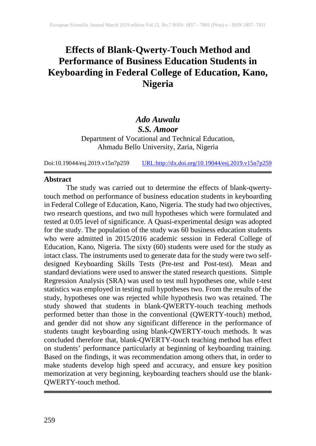# **Effects of Blank-Qwerty-Touch Method and Performance of Business Education Students in Keyboarding in Federal College of Education, Kano, Nigeria**

## *Ado Auwalu*

*S.S. Amoor*

Department of Vocational and Technical Education, Ahmadu Bello University, Zaria, Nigeria

Doi:10.19044/esj.2019.v15n7p259 [URL:http://dx.doi.org/10.19044/esj.2019.v15n7p259](http://dx.doi.org/10.19044/esj.2019.v15n7p259)

### **Abstract**

The study was carried out to determine the effects of blank-qwertytouch method on performance of business education students in keyboarding in Federal College of Education, Kano, Nigeria. The study had two objectives, two research questions, and two null hypotheses which were formulated and tested at 0.05 level of significance. A Quasi-experimental design was adopted for the study. The population of the study was 60 business education students who were admitted in 2015/2016 academic session in Federal College of Education, Kano, Nigeria. The sixty (60) students were used for the study as intact class. The instruments used to generate data for the study were two selfdesigned Keyboarding Skills Tests (Pre-test and Post-test). Mean and standard deviations were used to answer the stated research questions. Simple Regression Analysis (SRA) was used to test null hypotheses one, while t-test statistics was employed in testing null hypotheses two. From the results of the study, hypotheses one was rejected while hypothesis two was retained. The study showed that students in blank-QWERTY-touch teaching methods performed better than those in the conventional (QWERTY-touch) method, and gender did not show any significant difference in the performance of students taught keyboarding using blank-QWERTY-touch methods. It was concluded therefore that, blank-QWERTY-touch teaching method has effect on students' performance particularly at beginning of keyboarding training. Based on the findings, it was recommendation among others that, in order to make students develop high speed and accuracy, and ensure key position memorization at very beginning, keyboarding teachers should use the blank-QWERTY-touch method.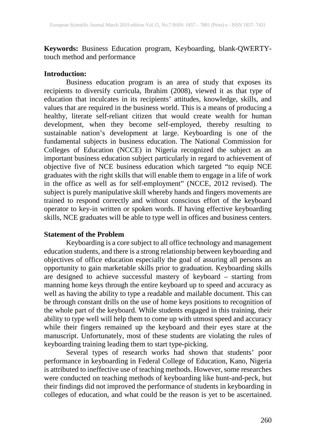**Keywords:** Business Education program, Keyboarding, blank-QWERTYtouch method and performance

#### **Introduction:**

Business education program is an area of study that exposes its recipients to diversify curricula, Ibrahim (2008), viewed it as that type of education that inculcates in its recipients' attitudes, knowledge, skills, and values that are required in the business world. This is a means of producing a healthy, literate self-reliant citizen that would create wealth for human development, when they become self-employed, thereby resulting to sustainable nation's development at large. Keyboarding is one of the fundamental subjects in business education. The National Commission for Colleges of Education (NCCE) in Nigeria recognized the subject as an important business education subject particularly in regard to achievement of objective five of NCE business education which targeted "to equip NCE graduates with the right skills that will enable them to engage in a life of work in the office as well as for self-employment" (NCCE, 2012 revised). The subject is purely manipulative skill whereby hands and fingers movements are trained to respond correctly and without conscious effort of the keyboard operator to key-in written or spoken words. If having effective keyboarding skills, NCE graduates will be able to type well in offices and business centers.

#### **Statement of the Problem**

Keyboarding is a core subject to all office technology and management education students, and there is a strong relationship between keyboarding and objectives of office education especially the goal of assuring all persons an opportunity to gain marketable skills prior to graduation. Keyboarding skills are designed to achieve successful mastery of keyboard – starting from manning home keys through the entire keyboard up to speed and accuracy as well as having the ability to type a readable and mailable document. This can be through constant drills on the use of home keys positions to recognition of the whole part of the keyboard. While students engaged in this training, their ability to type well will help them to come up with utmost speed and accuracy while their fingers remained up the keyboard and their eyes stare at the manuscript. Unfortunately, most of these students are violating the rules of keyboarding training leading them to start type-picking.

Several types of research works had shown that students' poor performance in keyboarding in Federal College of Education, Kano, Nigeria is attributed to ineffective use of teaching methods. However, some researches were conducted on teaching methods of keyboarding like hunt-and-peck, but their findings did not improved the performance of students in keyboarding in colleges of education, and what could be the reason is yet to be ascertained.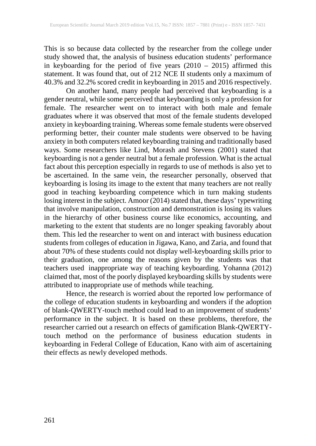This is so because data collected by the researcher from the college under study showed that, the analysis of business education students' performance in keyboarding for the period of five years (2010 – 2015) affirmed this statement. It was found that, out of 212 NCE II students only a maximum of 40.3% and 32.2% scored credit in keyboarding in 2015 and 2016 respectively.

On another hand, many people had perceived that keyboarding is a gender neutral, while some perceived that keyboarding is only a profession for female. The researcher went on to interact with both male and female graduates where it was observed that most of the female students developed anxiety in keyboarding training. Whereas some female students were observed performing better, their counter male students were observed to be having anxiety in both computers related keyboarding training and traditionally based ways. Some researchers like Lind, Morash and Stevens (2001) stated that keyboarding is not a gender neutral but a female profession. What is the actual fact about this perception especially in regards to use of methods is also yet to be ascertained. In the same vein, the researcher personally, observed that keyboarding is losing its image to the extent that many teachers are not really good in teaching keyboarding competence which in turn making students losing interest in the subject. Amoor (2014) stated that, these days' typewriting that involve manipulation, construction and demonstration is losing its values in the hierarchy of other business course like economics, accounting, and marketing to the extent that students are no longer speaking favorably about them. This led the researcher to went on and interact with business education students from colleges of education in Jigawa, Kano, and Zaria, and found that about 70% of these students could not display well-keyboarding skills prior to their graduation, one among the reasons given by the students was that teachers used inappropriate way of teaching keyboarding. Yohanna (2012) claimed that, most of the poorly displayed keyboarding skills by students were attributed to inappropriate use of methods while teaching.

Hence, the research is worried about the reported low performance of the college of education students in keyboarding and wonders if the adoption of blank-QWERTY-touch method could lead to an improvement of students' performance in the subject. It is based on these problems, therefore, the researcher carried out a research on effects of gamification Blank-QWERTYtouch method on the performance of business education students in keyboarding in Federal College of Education, Kano with aim of ascertaining their effects as newly developed methods.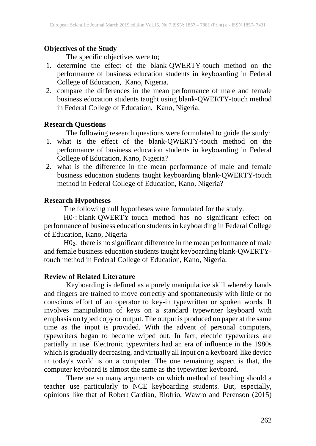## **Objectives of the Study**

The specific objectives were to;

- 1. determine the effect of the blank-QWERTY-touch method on the performance of business education students in keyboarding in Federal College of Education, Kano, Nigeria.
- 2. compare the differences in the mean performance of male and female business education students taught using blank-QWERTY-touch method in Federal College of Education, Kano, Nigeria.

## **Research Questions**

The following research questions were formulated to guide the study:

- 1. what is the effect of the blank-QWERTY-touch method on the performance of business education students in keyboarding in Federal College of Education, Kano, Nigeria?
- 2. what is the difference in the mean performance of male and female business education students taught keyboarding blank-QWERTY-touch method in Federal College of Education, Kano, Nigeria?

## **Research Hypotheses**

The following null hypotheses were formulated for the study.

H01: blank-QWERTY-touch method has no significant effect on performance of business education students in keyboarding in Federal College of Education, Kano, Nigeria

H02: there is no significant difference in the mean performance of male and female business education students taught keyboarding blank-QWERTYtouch method in Federal College of Education, Kano, Nigeria.

## **Review of Related Literature**

Keyboarding is defined as a purely manipulative skill whereby hands and fingers are trained to move correctly and spontaneously with little or no conscious effort of an operator to key-in typewritten or spoken words. It involves manipulation of keys on a standard typewriter keyboard with emphasis on typed copy or output. The output is produced on paper at the same time as the input is provided. With the advent of personal computers, typewriters began to become wiped out. In fact, electric typewriters are partially in use. Electronic typewriters had an era of influence in the 1980s which is gradually decreasing, and virtually all input on a keyboard-like device in today's world is on a computer. The one remaining aspect is that, the computer keyboard is almost the same as the typewriter keyboard.

There are so many arguments on which method of teaching should a teacher use particularly to NCE keyboarding students. But, especially, opinions like that of Robert Cardian, Riofrio, Wawro and Perenson (2015)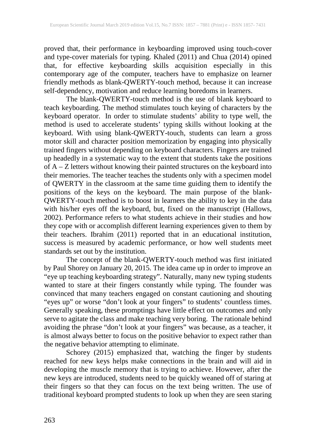proved that, their performance in keyboarding improved using touch-cover and type-cover materials for typing. Khaled (2011) and Chua (2014) opined that, for effective keyboarding skills acquisition especially in this contemporary age of the computer, teachers have to emphasize on learner friendly methods as blank-QWERTY-touch method, because it can increase self-dependency, motivation and reduce learning boredoms in learners.

The blank-QWERTY-touch method is the use of blank keyboard to teach keyboarding. The method stimulates touch keying of characters by the keyboard operator. In order to stimulate students' ability to type well, the method is used to accelerate students' typing skills without looking at the keyboard. With using blank-QWERTY-touch, students can learn a gross motor skill and character position memorization by engaging into physically trained fingers without depending on keyboard characters. Fingers are trained up headedly in a systematic way to the extent that students take the positions of A – Z letters without knowing their painted structures on the keyboard into their memories. The teacher teaches the students only with a specimen model of QWERTY in the classroom at the same time guiding them to identify the positions of the keys on the keyboard. The main purpose of the blank-QWERTY-touch method is to boost in learners the ability to key in the data with his/her eyes off the keyboard, but, fixed on the manuscript (Hallows, 2002). Performance refers to what students achieve in their studies and how they cope with or accomplish different learning experiences given to them by their teachers. Ibrahim (2011) reported that in an educational institution, success is measured by academic performance, or how well students meet standards set out by the institution.

The concept of the blank-QWERTY-touch method was first initiated by Paul Shorey on January 20, 2015. The idea came up in order to improve an "eye up teaching keyboarding strategy". Naturally, many new typing students wanted to stare at their fingers constantly while typing. The founder was convinced that many teachers engaged on constant cautioning and shouting "eyes up" or worse "don't look at your fingers" to students' countless times. Generally speaking, these promptings have little effect on outcomes and only serve to agitate the class and make teaching very boring. The rationale behind avoiding the phrase "don't look at your fingers" was because, as a teacher, it is almost always better to focus on the positive behavior to expect rather than the negative behavior attempting to eliminate.

Schorey (2015) emphasized that, watching the finger by students reached for new keys helps make connections in the brain and will aid in developing the muscle memory that is trying to achieve. However, after the new keys are introduced, students need to be quickly weaned off of staring at their fingers so that they can focus on the text being written. The use of traditional keyboard prompted students to look up when they are seen staring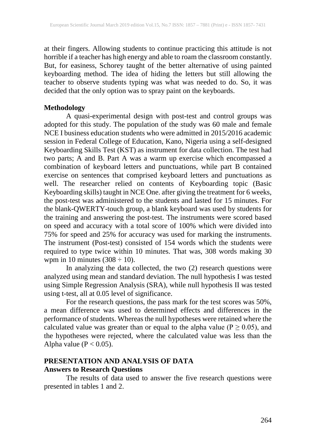at their fingers. Allowing students to continue practicing this attitude is not horrible if a teacher has high energy and able to roam the classroom constantly. But, for easiness, Schorey taught of the better alternative of using painted keyboarding method. The idea of hiding the letters but still allowing the teacher to observe students typing was what was needed to do. So, it was decided that the only option was to spray paint on the keyboards.

#### **Methodology**

A quasi-experimental design with post-test and control groups was adopted for this study. The population of the study was 60 male and female NCE I business education students who were admitted in 2015/2016 academic session in Federal College of Education, Kano, Nigeria using a self-designed Keyboarding Skills Test (KST) as instrument for data collection. The test had two parts; A and B. Part A was a warm up exercise which encompassed a combination of keyboard letters and punctuations, while part B contained exercise on sentences that comprised keyboard letters and punctuations as well. The researcher relied on contents of Keyboarding topic (Basic Keyboarding skills) taught in NCE One. after giving the treatment for 6 weeks, the post-test was administered to the students and lasted for 15 minutes. For the blank-QWERTY-touch group, a blank keyboard was used by students for the training and answering the post-test. The instruments were scored based on speed and accuracy with a total score of 100% which were divided into 75% for speed and 25% for accuracy was used for marking the instruments. The instrument (Post-test) consisted of 154 words which the students were required to type twice within 10 minutes. That was, 308 words making 30 wpm in 10 minutes  $(308 \div 10)$ .

In analyzing the data collected, the two (2) research questions were analyzed using mean and standard deviation. The null hypothesis I was tested using Simple Regression Analysis (SRA), while null hypothesis II was tested using t-test, all at 0.05 level of significance.

For the research questions, the pass mark for the test scores was 50%, a mean difference was used to determined effects and differences in the performance of students. Whereas the null hypotheses were retained where the calculated value was greater than or equal to the alpha value ( $P \ge 0.05$ ), and the hypotheses were rejected, where the calculated value was less than the Alpha value  $(P < 0.05)$ .

## **PRESENTATION AND ANALYSIS OF DATA Answers to Research Questions**

The results of data used to answer the five research questions were presented in tables 1 and 2.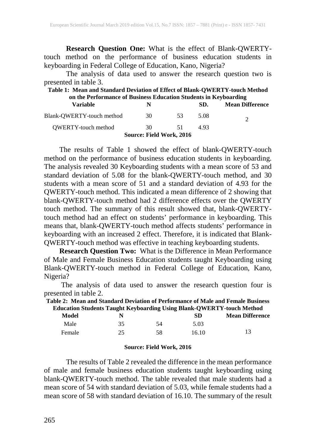**Research Question One:** What is the effect of Blank-QWERTYtouch method on the performance of business education students in keyboarding in Federal College of Education, Kano, Nigeria?

The analysis of data used to answer the research question two is presented in table 3.

| Table 1: Mean and Standard Deviation of Effect of Blank-QWERTY-touch Method |    |     |      |                        |  |  |  |
|-----------------------------------------------------------------------------|----|-----|------|------------------------|--|--|--|
| on the Performance of Business Education Students in Keyboarding            |    |     |      |                        |  |  |  |
| <b>Variable</b>                                                             | N  |     | SD.  | <b>Mean Difference</b> |  |  |  |
| Blank-OWERTY-touch method                                                   | 30 | -53 | 5.08 | $\mathcal{D}$          |  |  |  |
| <b>OWERTY-touch method</b>                                                  | 30 | 51  | 493  |                        |  |  |  |
| Source: Field Work, 2016                                                    |    |     |      |                        |  |  |  |

The results of Table 1 showed the effect of blank-QWERTY-touch method on the performance of business education students in keyboarding. The analysis revealed 30 Keyboarding students with a mean score of 53 and standard deviation of 5.08 for the blank-QWERTY-touch method, and 30 students with a mean score of 51 and a standard deviation of 4.93 for the QWERTY-touch method. This indicated a mean difference of 2 showing that blank-QWERTY-touch method had 2 difference effects over the QWERTY touch method. The summary of this result showed that, blank-QWERTYtouch method had an effect on students' performance in keyboarding. This means that, blank-QWERTY-touch method affects students' performance in keyboarding with an increased 2 effect. Therefore, it is indicated that Blank-QWERTY-touch method was effective in teaching keyboarding students.

**Research Question Two:** What is the Difference in Mean Performance of Male and Female Business Education students taught Keyboarding using Blank-QWERTY-touch method in Federal College of Education, Kano, Nigeria?

The analysis of data used to answer the research question four is presented in table 2.

| Table 2: Mean and Standard Deviation of Performance of Male and Female Business |    |     |       |                                                                              |  |  |
|---------------------------------------------------------------------------------|----|-----|-------|------------------------------------------------------------------------------|--|--|
|                                                                                 |    |     |       | <b>Education Students Taught Keyboarding Using Blank-QWERTY-touch Method</b> |  |  |
| Model                                                                           |    |     | -SD   | <b>Mean Difference</b>                                                       |  |  |
| Male                                                                            | 35 | -54 | 5.03  |                                                                              |  |  |
| Female                                                                          | 25 | 58  | 16.10 | 13                                                                           |  |  |

#### **Source: Field Work, 2016**

The results of Table 2 revealed the difference in the mean performance of male and female business education students taught keyboarding using blank-QWERTY-touch method. The table revealed that male students had a mean score of 54 with standard deviation of 5.03, while female students had a mean score of 58 with standard deviation of 16.10. The summary of the result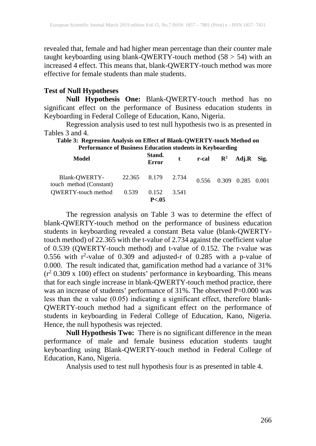revealed that, female and had higher mean percentage than their counter male taught keyboarding using blank-QWERTY-touch method (58 > 54) with an increased 4 effect. This means that, blank-QWERTY-touch method was more effective for female students than male students.

#### **Test of Null Hypotheses**

**Null Hypothesis One:** Blank-QWERTY-touch method has no significant effect on the performance of Business education students in Keyboarding in Federal College of Education, Kano, Nigeria.

Regression analysis used to test null hypothesis two is as presented in Tables 3 and 4.

#### **Table 3: Regression Analysis on Effect of Blank-QWERTY-touch Method on Performance of Business Education students in Keyboarding**

| Model                                                       | Stand.<br><b>Error</b> |       | t r-cal $\mathbb{R}^2$ Adj. R Sig. |                         |  |
|-------------------------------------------------------------|------------------------|-------|------------------------------------|-------------------------|--|
| Blank-QWERTY- 22.365 8.179 2.734<br>touch method (Constant) |                        |       |                                    | 0.556 0.309 0.285 0.001 |  |
| $QWERTY$ -touch method $0.539$ 0.152                        | P< 0.05                | 3.541 |                                    |                         |  |

The regression analysis on Table 3 was to determine the effect of blank-QWERTY-touch method on the performance of business education students in keyboarding revealed a constant Beta value (blank-QWERTYtouch method) of 22.365 with the t-value of 2.734 against the coefficient value of 0.539 (QWERTY-touch method) and t-value of 0.152. The r-value was 0.556 with  $r^2$ -value of 0.309 and adjusted-r of 0.285 with a p-value of 0.000. The result indicated that, gamification method had a variance of 31%  $(r^2 0.309 \times 100)$  effect on students' performance in keyboarding. This means that for each single increase in blank-QWERTY-touch method practice, there was an increase of students' performance of 31%. The observed P=0.000 was less than the  $\alpha$  value (0.05) indicating a significant effect, therefore blank-QWERTY-touch method had a significant effect on the performance of students in keyboarding in Federal College of Education, Kano, Nigeria. Hence, the null hypothesis was rejected.

**Null Hypothesis Two:** There is no significant difference in the mean performance of male and female business education students taught keyboarding using Blank-QWERTY-touch method in Federal College of Education, Kano, Nigeria.

Analysis used to test null hypothesis four is as presented in table 4.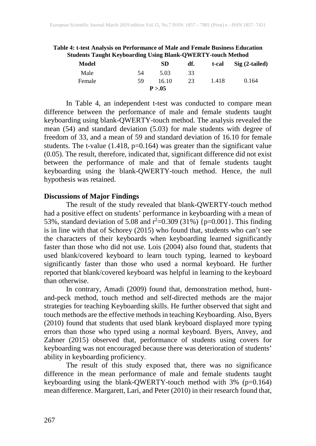| Addenis Taught IXCyboaruing Osing Diank-Q WEIXT F-touch Method |    |          |     |       |                           |
|----------------------------------------------------------------|----|----------|-----|-------|---------------------------|
| Model                                                          |    | SD       | df. | t-cal | $\mathrm{Sig}$ (2-tailed) |
| Male                                                           | 54 | 5.03     | 33  |       |                           |
| Female                                                         | 59 | 16.10    | 23  | 1.418 | 0.164                     |
|                                                                |    | P > 0.05 |     |       |                           |

**Table 4: t-test Analysis on Performance of Male and Female Business Education Students Taught Keyboarding Using Blank-QWERTY-touch Method**

In Table 4, an independent t-test was conducted to compare mean difference between the performance of male and female students taught keyboarding using blank-QWERTY-touch method. The analysis revealed the mean (54) and standard deviation (5.03) for male students with degree of freedom of 33, and a mean of 59 and standard deviation of 16.10 for female students. The t-value (1.418, p=0.164) was greater than the significant value (0.05). The result, therefore, indicated that, significant difference did not exist between the performance of male and that of female students taught keyboarding using the blank-QWERTY-touch method. Hence, the null hypothesis was retained.

#### **Discussions of Major Findings**

The result of the study revealed that blank-QWERTY-touch method had a positive effect on students' performance in keyboarding with a mean of 53%, standard deviation of 5.08 and  $r^2$ =0.309 (31%) {p=0.001}. This finding is in line with that of Schorey (2015) who found that, students who can't see the characters of their keyboards when keyboarding learned significantly faster than those who did not use. Lois (2004) also found that, students that used blank/covered keyboard to learn touch typing, learned to keyboard significantly faster than those who used a normal keyboard. He further reported that blank/covered keyboard was helpful in learning to the keyboard than otherwise.

In contrary, Amadi (2009) found that, demonstration method, huntand-peck method, touch method and self-directed methods are the major strategies for teaching Keyboarding skills. He further observed that sight and touch methods are the effective methods in teaching Keyboarding. Also, Byers (2010) found that students that used blank keyboard displayed more typing errors than those who typed using a normal keyboard. Byers, Anvey, and Zahner (2015) observed that, performance of students using covers for keyboarding was not encouraged because there was deterioration of students' ability in keyboarding proficiency.

The result of this study exposed that, there was no significance difference in the mean performance of male and female students taught keyboarding using the blank-QWERTY-touch method with 3% (p=0.164) mean difference. Margarett, Lari, and Peter (2010) in their research found that,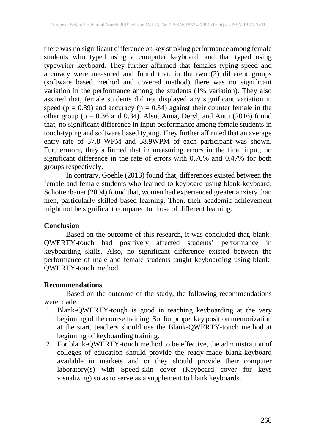there was no significant difference on key stroking performance among female students who typed using a computer keyboard, and that typed using typewriter keyboard. They further affirmed that females typing speed and accuracy were measured and found that, in the two (2) different groups (software based method and covered method) there was no significant variation in the performance among the students (1% variation). They also assured that, female students did not displayed any significant variation in speed ( $p = 0.39$ ) and accuracy ( $p = 0.34$ ) against their counter female in the other group ( $p = 0.36$  and 0.34). Also, Anna, Deryl, and Antti (2016) found that, no significant difference in input performance among female students in touch-typing and software based typing. They further affirmed that an average entry rate of 57.8 WPM and 58.9WPM of each participant was shown. Furthermore, they affirmed that in measuring errors in the final input, no significant difference in the rate of errors with 0.76% and 0.47% for both groups respectively,

In contrary, Goehle (2013) found that, differences existed between the female and female students who learned to keyboard using blank-keyboard. Schottenbauer (2004) found that, women had experienced greater anxiety than men, particularly skilled based learning. Then, their academic achievement might not be significant compared to those of different learning.

## **Conclusion**

Based on the outcome of this research, it was concluded that, blank-QWERTY-touch had positively affected students' performance in keyboarding skills. Also, no significant difference existed between the performance of male and female students taught keyboarding using blank-QWERTY-touch method.

## **Recommendations**

Based on the outcome of the study, the following recommendations were made.

- 1. Blank-QWERTY-tough is good in teaching keyboarding at the very beginning of the course training. So, for proper key position memorization at the start, teachers should use the Blank-QWERTY-touch method at beginning of keyboarding training.
- 2. For blank-QWERTY-touch method to be effective, the administration of colleges of education should provide the ready-made blank-keyboard available in markets and or they should provide their computer laboratory(s) with Speed-skin cover (Keyboard cover for keys visualizing) so as to serve as a supplement to blank keyboards.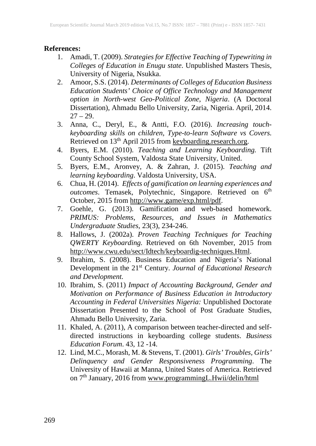## **References:**

- 1. Amadi, T. (2009). *Strategies for Effective Teaching of Typewriting in Colleges of Education in Enugu state*. Unpublished Masters Thesis, University of Nigeria, Nsukka.
- 2. Amoor, S.S. (2014). *Determinants of Colleges of Education Business Education Students' Choice of Office Technology and Management option in North-west Geo-Political Zone, Nigeria*. (A Doctoral Dissertation), Ahmadu Bello University, Zaria, Nigeria. April, 2014.  $27 - 29.$
- 3. Anna, C., Deryl, E., & Antti, F.O. (2016). *Increasing touchkeyboarding skills on children, Type-to-learn Software vs Covers.* Retrieved on 13<sup>th</sup> April 2015 from keyboarding.research.org.
- 4. Byers, E.M. (2010). *Teaching and Learning Keyboarding.* Tift County School System, Valdosta State University, United.
- 5. Byers, E.M., Aronvey, A. & Zahran, J. (2015). *Teaching and learning keyboarding*. Valdosta University, USA.
- 6. Chua, H. (2014). *Effects of gamification on learning experiences and*  outcomes. Temasek, Polytechnic, Singapore. Retrieved on 6<sup>th</sup> October, 2015 from http://www.game/exp.html/pdf.
- 7. Goehle, G. (2013). Gamification and web-based homework. *PRIMUS: Problems, Resources, and Issues in Mathematics Undergraduate Studies*, 23(3), 234-246.
- 8. Hallows, J. (2002a). *Proven Teaching Techniques for Teaching QWERTY Keyboarding.* Retrieved on 6th November, 2015 from http://www.cwu.edu/sect/Idtech/keyboardig-techniques.Html.
- 9. Ibrahim, S. (2008). Business Education and Nigeria's National Development in the 21st Century. *Journal of Educational Research and Development.*
- 10. Ibrahim, S. (2011) *Impact of Accounting Background, Gender and Motivation on Performance of Business Education in Introductory Accounting in Federal Universities Nigeria:* Unpublished Doctorate Dissertation Presented to the School of Post Graduate Studies, Ahmadu Bello University, Zaria.
- 11. Khaled, A. (2011), A comparison between teacher-directed and selfdirected instructions in keyboarding college students. *Business Education Forum*. 43, 12 -14.
- 12. Lind, M.C., Morash, M. & Stevens, T. (2001). *Girls' Troubles, Girls' Delinquency and Gender Responsiveness Programming*. The University of Hawaii at Manna, United States of America. Retrieved on 7<sup>th</sup> January, 2016 from www.programmingL.Hwii/delin/html